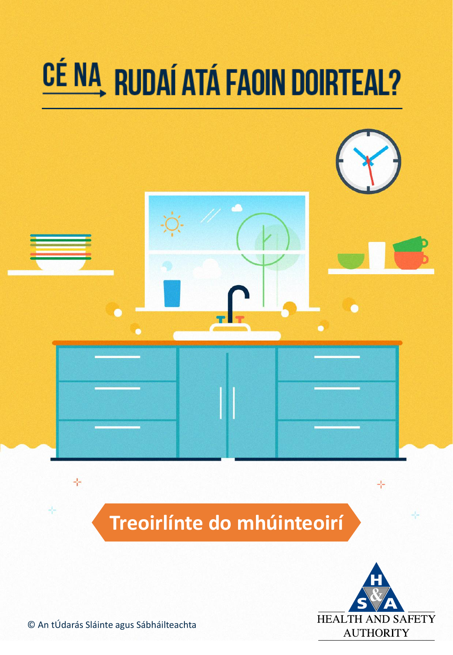

**Treoirlínte do mhúinteoirí**



우

÷

© An tÚdarás Sláinte agus Sábháilteachta

구

÷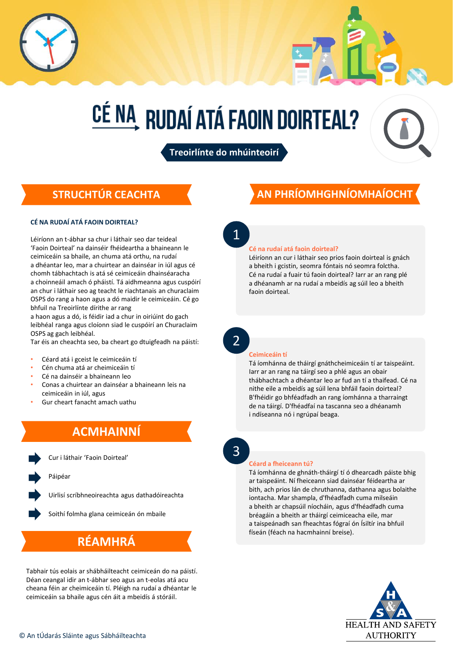

**Treoirlínte do mhúinteoirí**

### **STRUCHTÚR CEACHTA**

#### **CÉ NA RUDAÍ ATÁ FAOIN DOIRTEAL?**

Léiríonn an t-ábhar sa chur i láthair seo dar teideal 'Faoin Doirteal' na dainséir fhéideartha a bhaineann le ceimiceáin sa bhaile, an chuma atá orthu, na rudaí a dhéantar leo, mar a chuirtear an dainséar in iúl agus cé chomh tábhachtach is atá sé ceimiceáin dhainséaracha a choinneáil amach ó pháistí. Tá aidhmeanna agus cuspóirí an chur i láthair seo ag teacht le riachtanais an churaclaim OSPS do rang a haon agus a dó maidir le ceimiceáin. Cé go bhfuil na Treoirlínte dírithe ar rang

a haon agus a dó, is féidir iad a chur in oiriúint do gach leibhéal ranga agus cloíonn siad le cuspóirí an Churaclaim OSPS ag gach leibhéal.

Tar éis an cheachta seo, ba cheart go dtuigfeadh na páistí:

#### • Céard atá i gceist le ceimiceáin tí

- Cén chuma atá ar cheimiceáin tí
- Cé na dainséir a bhaineann leo
- Conas a chuirtear an dainséar a bhaineann leis na ceimiceáin in iúl, agus
- Gur cheart fanacht amach uathu

## **ACMHAINNÍ**

Cur i láthair 'Faoin Doirteal'

Páipéar

Uirlisí scríbhneoireachta agus dathadóireachta

Soithí folmha glana ceimiceán ón mbaile

## **RÉAMHRÁ**

Tabhair tús eolais ar shábháilteacht ceimiceán do na páistí. Déan ceangal idir an t-ábhar seo agus an t-eolas atá acu cheana féin ar cheimiceáin tí. Pléigh na rudaí a dhéantar le ceimiceáin sa bhaile agus cén áit a mbeidís á stóráil.

## **AN PHRÍOMHGHNÍOMHAÍOCHT**

1

#### **Cé na rudaí atá faoin doirteal?**

Léiríonn an cur i láthair seo prios faoin doirteal is gnách a bheith i gcistin, seomra fóntais nó seomra folctha. Cé na rudaí a fuair tú faoin doirteal? Iarr ar an rang plé a dhéanamh ar na rudaí a mbeidís ag súil leo a bheith faoin doirteal.

2

#### **Ceimiceáin tí**

Tá íomhánna de tháirgí gnáthcheimiceáin tí ar taispeáint. Iarr ar an rang na táirgí seo a phlé agus an obair thábhachtach a dhéantar leo ar fud an tí a thaifead. Cé na nithe eile a mbeidís ag súil lena bhfáil faoin doirteal? B'fhéidir go bhféadfadh an rang íomhánna a tharraingt de na táirgí. D'fhéadfaí na tascanna seo a dhéanamh i ndíseanna nó i ngrúpaí beaga.



#### **Céard a fheiceann tú?**

Tá íomhánna de ghnáth-tháirgí tí ó dhearcadh páiste bhig ar taispeáint. Ní fheiceann siad dainséar féideartha ar bith, ach prios lán de chruthanna, dathanna agus bolaithe iontacha. Mar shampla, d'fhéadfadh cuma milseáin a bheith ar chapsúil níocháin, agus d'fhéadfadh cuma bréagáin a bheith ar tháirgí ceimiceacha eile, mar a taispeánadh san fheachtas fógraí ón Ísiltír ina bhfuil físeán (féach na hacmhainní breise).

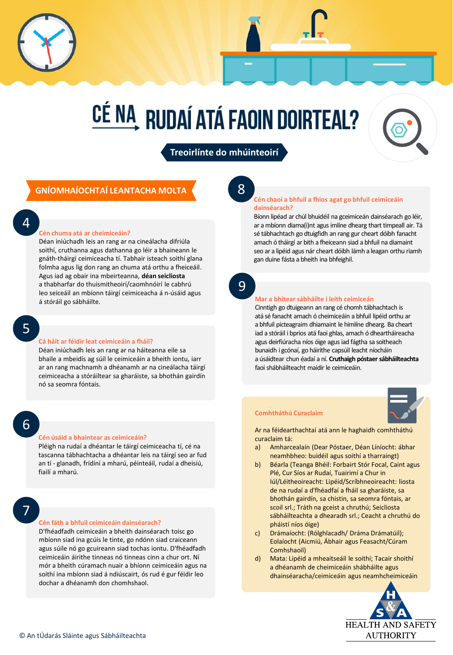**Treoirlínte do mhúinteoirí**

### **GNÍOMHAÍOCHTAÍ LEANTACHA MOLTA**

4

#### **Cén chuma atá ar cheimiceáin?**

Déan iniúchadh leis an rang ar na cineálacha difriúla soithí, cruthanna agus dathanna go léir a bhaineann le gnáth-tháirgí ceimiceacha tí. Tabhair isteach soithí glana folmha agus lig don rang an chuma atá orthu a fheiceáil. Agus iad ag obair ina mbeirteanna, **déan seicliosta** a thabharfar do thuismitheoirí/caomhnóirí le cabhrú leo seiceáil an mbíonn táirgí ceimiceacha á n-úsáid agus á stóráil go sábháilte.

5

#### **Cá háit ar féidir leat ceimiceáin a fháil?**

Déan iniúchadh leis an rang ar na háiteanna eile sa bhaile a mbeidís ag súil le ceimiceáin a bheith iontu, iarr ar an rang machnamh a dhéanamh ar na cineálacha táirgí ceimiceacha a stóráiltear sa gharáiste, sa bhothán gairdín nó sa seomra fóntais.

6

#### **Cén úsáid a bhaintear as ceimiceáin?**

Pléigh na rudaí a dhéantar le táirgí ceimiceacha tí, cé na tascanna tábhachtacha a dhéantar leis na táirgí seo ar fud an tí - glanadh, frídíní a mharú, péinteáil, rudaí a dheisiú, fiailí a mharú.

## 7

#### **Cén fáth a bhfuil ceimiceáin dainséarach?**

D'fhéadfadh ceimiceáin a bheith dainséarach toisc go mbíonn siad ina gcúis le tinte, go ndónn siad craiceann agus súile nó go gcuireann siad tochas iontu. D'fhéadfadh ceimiceáin áirithe tinneas nó tinneas cinn a chur ort. Ní mór a bheith cúramach nuair a bhíonn ceimiceáin agus na soithí ina mbíonn siad á ndiúscairt, ós rud é gur féidir leo dochar a dhéanamh don chomhshaol.

8

#### **Cén chaoi a bhfuil a fhios agat go bhfuil ceimiceáin dainséarach?**

Bíonn lipéad ar chúl bhuidéil na gceimiceán dainséarach go léir, ar a mbíonn diama(i)nt agus imlíne dhearg thart timpeall air. Tá sé tábhachtach go dtuigfidh an rang gur cheart dóibh fanacht amach ó tháirgí ar bith a fheiceann siad a bhfuil na diamaint seo ar a lipéid agus nár cheart dóibh lámh a leagan orthu riamh gan duine fásta a bheith ina bhfeighil.

9

#### **Mar a bhítear sábháilte i leith ceimiceán**

Cinntigh go dtuigeann an rang cé chomh tábhachtach is atá sé fanacht amach ó cheimiceáin a bhfuil lipéid orthu ar a bhfuil picteagraim dhiamaint le himlíne dhearg. Ba cheart iad a stóráil i bprios atá faoi ghlas, amach ó dheartháireacha agus deirfiúracha níos óige agus iad fágtha sa soitheach bunaidh i gcónaí, go háirithe capsúil leacht níocháin a úsáidtear chun éadaí a ní. **Cruthaigh póstaer sábháilteachta** faoi shábháilteacht maidir le ceimiceáin.



Ar na féidearthachtaí atá ann le haghaidh comhtháthú curaclaim tá:

- a) Amharcealaín (Dear Póstaer, Déan Líníocht: ábhar neamhbheo: buidéil agus soithí a tharraingt)
- b) Béarla (Teanga Bhéil: Forbairt Stór Focal, Caint agus Plé, Cur Síos ar Rudaí, Tuairimí a Chur in Iúl/Léitheoireacht: Lipéid/Scríbhneoireacht: liosta de na rudaí a d'fhéadfaí a fháil sa gharáiste, sa bhothán gairdín, sa chistin, sa seomra fóntais, ar scoil srl.; Tráth na gceist a chruthú; Seicliosta sábháilteachta a dhearadh srl.; Ceacht a chruthú do pháistí níos óige)
- c) Drámaíocht: (Rólghlacadh/ Dráma Drámatúil); Eolaíocht (Aicmiú, Ábhair agus Feasacht/Cúram Comhshaoil)
- d) Mata: Lipéid a mheaitseáil le soithí; Tacair shoithí a dhéanamh de cheimiceáin shábháilte agus dhainséaracha/ceimiceáin agus neamhcheimiceáin

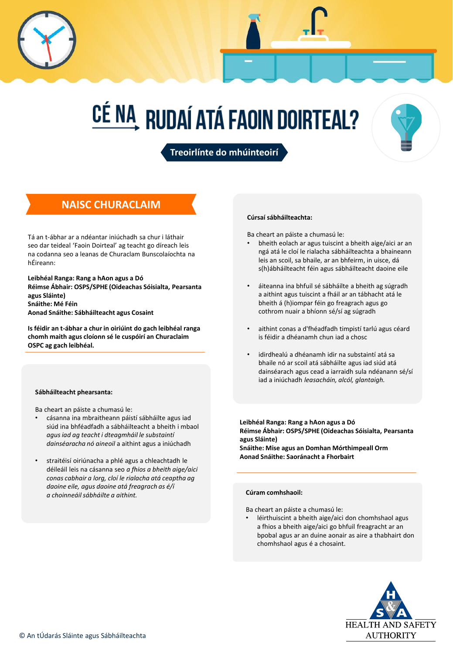



**Treoirlínte do mhúinteoirí**

### **NAISC CHURACLAIM**

Tá an t-ábhar ar a ndéantar iniúchadh sa chur i láthair seo dar teideal 'Faoin Doirteal' ag teacht go díreach leis na codanna seo a leanas de Churaclam Bunscolaíochta na hÉireann:

**Leibhéal Ranga: Rang a hAon agus a Dó Réimse Ábhair: OSPS/SPHE (Oideachas Sóisialta, Pearsanta agus Sláinte) Snáithe: Mé Féin Aonad Snáithe: Sábháilteacht agus Cosaint**

**Is féidir an t-ábhar a chur in oiriúint do gach leibhéal ranga chomh maith agus cloíonn sé le cuspóirí an Churaclaim OSPC ag gach leibhéal.**

#### **Sábháilteacht phearsanta:**

Ba cheart an páiste a chumasú le:

- cásanna ina mbraitheann páistí sábháilte agus iad siúd ina bhféadfadh a sábháilteacht a bheith i mbaol *agus iad ag teacht i dteagmháil le substaintí dainséaracha nó aineoil* a aithint agus a iniúchadh
- straitéisí oiriúnacha a phlé agus a chleachtadh le déileáil leis na cásanna seo *a fhios a bheith aige/aici conas cabhair a lorg, cloí le rialacha atá ceaptha ag daoine eile, agus daoine atá freagrach as é/í a choinneáil sábháilte a aithint.*

#### **Cúrsaí sábháilteachta:**

Ba cheart an páiste a chumasú le:

- bheith eolach ar agus tuiscint a bheith aige/aici ar an ngá atá le cloí le rialacha sábháilteachta a bhaineann leis an scoil, sa bhaile, ar an bhfeirm, in uisce, dá s(h)ábháilteacht féin agus sábháilteacht daoine eile
- áiteanna ina bhfuil sé sábháilte a bheith ag súgradh a aithint agus tuiscint a fháil ar an tábhacht atá le bheith á (h)iompar féin go freagrach agus go cothrom nuair a bhíonn sé/sí ag súgradh
- aithint conas a d'fhéadfadh timpistí tarlú agus céard is féidir a dhéanamh chun iad a chosc
- idirdhealú a dhéanamh idir na substaintí atá sa bhaile nó ar scoil atá sábháilte agus iad siúd atá dainséarach agus cead a iarraidh sula ndéanann sé/sí iad a iniúchadh *leasacháin, alcól, glantaigh.*

**Leibhéal Ranga: Rang a hAon agus a Dó Réimse Ábhair: OSPS/SPHE (Oideachas Sóisialta, Pearsanta agus Sláinte) Snáithe: Mise agus an Domhan Mórthimpeall Orm Aonad Snáithe: Saoránacht a Fhorbairt**

#### **Cúram comhshaoil:**

Ba cheart an páiste a chumasú le:

léirthuiscint a bheith aige/aici don chomhshaol agus a fhios a bheith aige/aici go bhfuil freagracht ar an bpobal agus ar an duine aonair as aire a thabhairt don chomhshaol agus é a chosaint.